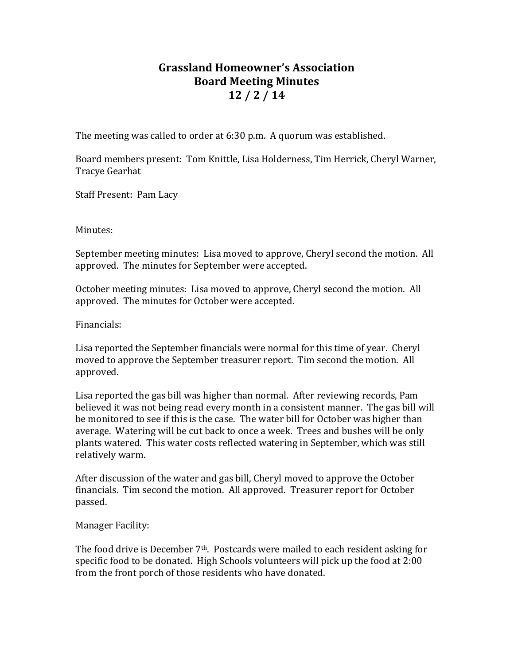## **Grassland Homeowner's Association Board Meeting Minutes 12 / 2 / 14**

The meeting was called to order at 6:30 p.m. A quorum was established.

Board members present: Tom Knittle, Lisa Holderness, Tim Herrick, Cheryl Warner, Tracye Gearhat

Staff Present: Pam Lacy

Minutes:

September meeting minutes: Lisa moved to approve, Cheryl second the motion. All approved. The minutes for September were accepted.

October meeting minutes: Lisa moved to approve, Cheryl second the motion. All approved. The minutes for October were accepted.

Financials:

Lisa reported the September financials were normal for this time of year. Cheryl moved to approve the September treasurer report. Tim second the motion. All approved.

Lisa reported the gas bill was higher than normal. After reviewing records, Pam believed it was not being read every month in a consistent manner. The gas bill will be monitored to see if this is the case. The water bill for October was higher than average. Watering will be cut back to once a week. Trees and bushes will be only plants watered. This water costs reflected watering in September, which was still relatively warm.

After discussion of the water and gas bill, Cheryl moved to approve the October financials. Tim second the motion. All approved. Treasurer report for October passed.

Manager Facility:

The food drive is December  $7<sup>th</sup>$ . Postcards were mailed to each resident asking for specific food to be donated. High Schools volunteers will pick up the food at 2:00 from the front porch of those residents who have donated.